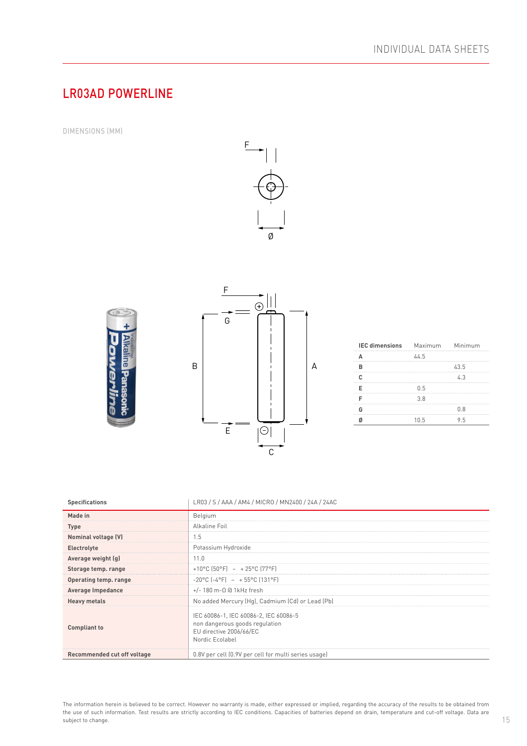## LR03AD POWERLINE

DIMENSIONS (MM)





| <b>IEC dimensions</b> | Maximum Minimum |      |
|-----------------------|-----------------|------|
|                       | 44.5            |      |
| R                     |                 | 43.5 |
| c                     |                 | 4.3  |
| F                     | 0.5             |      |
|                       | 3.8             |      |
| G                     |                 | 0.8  |
|                       | 10.5            | 95   |

| <b>Specifications</b>       | LR03 / S / AAA / AM4 / MICRO / MN2400 / 24A / 24AC                                                                    |
|-----------------------------|-----------------------------------------------------------------------------------------------------------------------|
| Made in                     | Belgium                                                                                                               |
| <b>Type</b>                 | Alkaline Foil                                                                                                         |
| Nominal voltage (V)         | 1.5                                                                                                                   |
| Electrolyte                 | Potassium Hydroxide                                                                                                   |
| Average weight (g)          | 11.0                                                                                                                  |
| Storage temp. range         | +10°C $[50^{\circ}F]$ ~ +25°C $[77^{\circ}F]$                                                                         |
| Operating temp. range       | $-20^{\circ}$ C $[-4^{\circ}$ F $]$ ~ + 55°C $[131^{\circ}$ F $]$                                                     |
| Average Impedance           | $+/-$ 180 m- $\Omega$ @ 1kHz fresh                                                                                    |
| <b>Heavy metals</b>         | No added Mercury (Hg), Cadmium (Cd) or Lead (Pb)                                                                      |
| <b>Compliant to</b>         | IEC 60086-1, IEC 60086-2, IEC 60086-5<br>non dangerous goods regulation<br>EU directive 2006/66/EC<br>Nordic Ecolabel |
| Recommended cut off voltage | 0.8V per cell (0.9V per cell for multi series usage)                                                                  |

The information herein is believed to be correct. However no warranty is made, either expressed or implied, regarding the accuracy of the results to be obtained from the use of such information. Test results are strictly according to IEC conditions. Capacities of batteries depend on drain, temperature and cut-off voltage. Data are subject to change.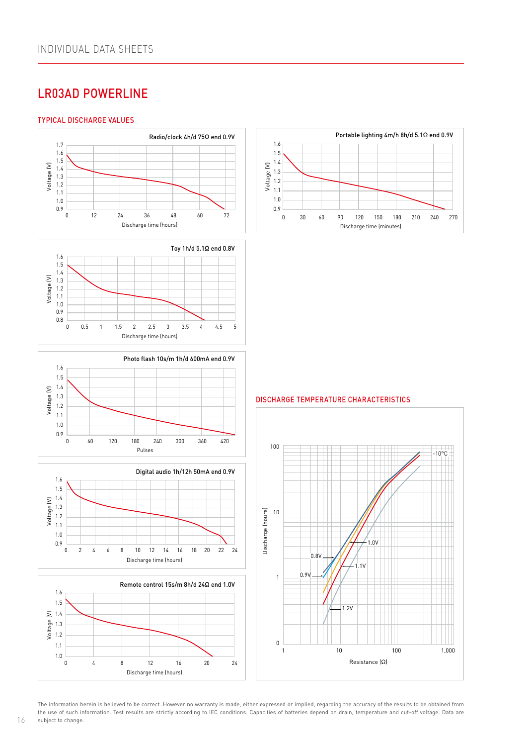# LR03AD POWERLINE

#### TYPICAL DISCHARGE VALUES

1.1













Voltage (V)

1.2

<mark>E</mark> 1 1.3 DISCHARGE TEMPERATURE CHARACTERISTICS Resistance (Ω)



1.6 The information herein is believed to be correct. However no warranty is made, either expressed or implied, regarding the accuracy of the results to be obtained from subject to change. the use of such information. Test results are strictly according to IEC conditions. Capacities of batteries depend on drain, temperature and cut-off voltage. Data are